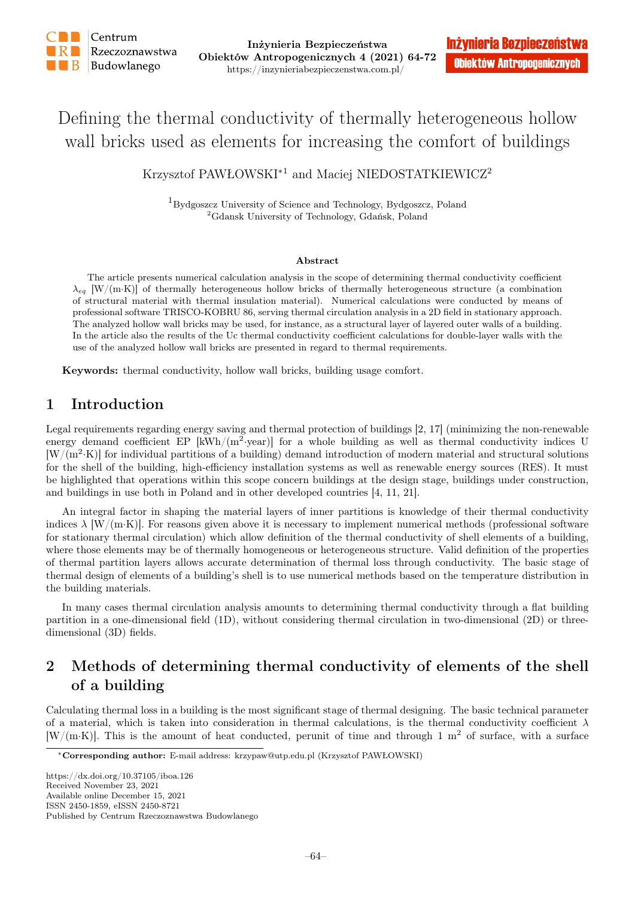

# Defining the thermal conductivity of thermally heterogeneous hollow wall bricks used as elements for increasing the comfort of buildings

Krzysztof PAWŁOWSKI<sup>∗</sup><sup>1</sup> and Maciej NIEDOSTATKIEWICZ<sup>2</sup>

<sup>1</sup>Bydgoszcz University of Science and Technology, Bydgoszcz, Poland <sup>2</sup>Gdansk University of Technology, Gdańsk, Poland

#### Abstract

The article presents numerical calculation analysis in the scope of determining thermal conductivity coefficient  $\lambda_{eq}$  [W/(m·K)] of thermally heterogeneous hollow bricks of thermally heterogeneous structure (a combination of structural material with thermal insulation material). Numerical calculations were conducted by means of professional software TRISCO-KOBRU 86, serving thermal circulation analysis in a 2D field in stationary approach. The analyzed hollow wall bricks may be used, for instance, as a structural layer of layered outer walls of a building. In the article also the results of the Uc thermal conductivity coefficient calculations for double-layer walls with the use of the analyzed hollow wall bricks are presented in regard to thermal requirements.

Keywords: thermal conductivity, hollow wall bricks, building usage comfort.

### 1 Introduction

Legal requirements regarding energy saving and thermal protection of buildings [2, 17] (minimizing the non-renewable energy demand coefficient EP  $[kWh/(m^2 \text{·year})]$  for a whole building as well as thermal conductivity indices U  $[W/(m^2 \cdot K)]$  for individual partitions of a building) demand introduction of modern material and structural solutions for the shell of the building, high-efficiency installation systems as well as renewable energy sources (RES). It must be highlighted that operations within this scope concern buildings at the design stage, buildings under construction, and buildings in use both in Poland and in other developed countries [4, 11, 21].

An integral factor in shaping the material layers of inner partitions is knowledge of their thermal conductivity indices  $\lambda$  [W/(m·K)]. For reasons given above it is necessary to implement numerical methods (professional software for stationary thermal circulation) which allow definition of the thermal conductivity of shell elements of a building, where those elements may be of thermally homogeneous or heterogeneous structure. Valid definition of the properties of thermal partition layers allows accurate determination of thermal loss through conductivity. The basic stage of thermal design of elements of a building's shell is to use numerical methods based on the temperature distribution in the building materials.

In many cases thermal circulation analysis amounts to determining thermal conductivity through a flat building partition in a one-dimensional field (1D), without considering thermal circulation in two-dimensional (2D) or threedimensional (3D) fields.

## 2 Methods of determining thermal conductivity of elements of the shell of a building

Calculating thermal loss in a building is the most significant stage of thermal designing. The basic technical parameter of a material, which is taken into consideration in thermal calculations, is the thermal conductivity coefficient  $\lambda$ [W/(m·K)]. This is the amount of heat conducted, perunit of time and through 1  $m<sup>2</sup>$  of surface, with a surface

https://dx.doi.org/10.37105/iboa.126 Received November 23, 2021 Available online December 15, 2021 ISSN 2450-1859, eISSN 2450-8721 Published by Centrum Rzeczoznawstwa Budowlanego

<sup>∗</sup>Corresponding author: E-mail address: krzypaw@utp.edu.pl (Krzysztof PAWŁOWSKI)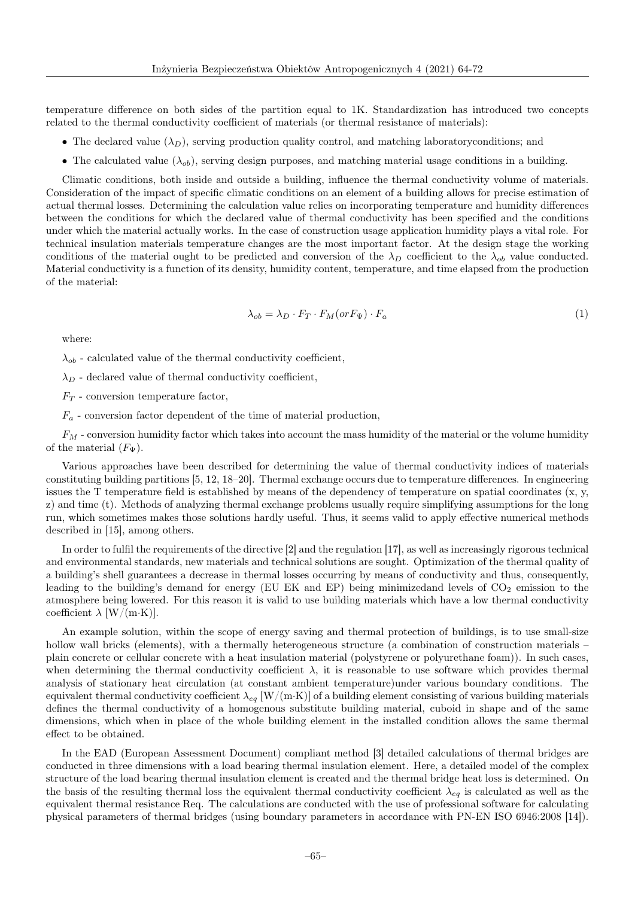temperature difference on both sides of the partition equal to 1K. Standardization has introduced two concepts related to the thermal conductivity coefficient of materials (or thermal resistance of materials):

- The declared value  $(\lambda_D)$ , serving production quality control, and matching laboratoryconditions; and
- The calculated value  $(\lambda_{ob})$ , serving design purposes, and matching material usage conditions in a building.

Climatic conditions, both inside and outside a building, influence the thermal conductivity volume of materials. Consideration of the impact of specific climatic conditions on an element of a building allows for precise estimation of actual thermal losses. Determining the calculation value relies on incorporating temperature and humidity differences between the conditions for which the declared value of thermal conductivity has been specified and the conditions under which the material actually works. In the case of construction usage application humidity plays a vital role. For technical insulation materials temperature changes are the most important factor. At the design stage the working conditions of the material ought to be predicted and conversion of the  $\lambda_D$  coefficient to the  $\lambda_{ob}$  value conducted. Material conductivity is a function of its density, humidity content, temperature, and time elapsed from the production of the material:

$$
\lambda_{ob} = \lambda_D \cdot F_T \cdot F_M(or F_\Psi) \cdot F_a \tag{1}
$$

where:

 $\lambda_{ob}$  - calculated value of the thermal conductivity coefficient,

 $\lambda_D$  - declared value of thermal conductivity coefficient,

 $F_T$  - conversion temperature factor,

 $F_a$  - conversion factor dependent of the time of material production,

 $F_M$  - conversion humidity factor which takes into account the mass humidity of the material or the volume humidity of the material  $(F_{\Psi}).$ 

Various approaches have been described for determining the value of thermal conductivity indices of materials constituting building partitions [5, 12, 18–20]. Thermal exchange occurs due to temperature differences. In engineering issues the T temperature field is established by means of the dependency of temperature on spatial coordinates  $(x, y, z)$ z) and time (t). Methods of analyzing thermal exchange problems usually require simplifying assumptions for the long run, which sometimes makes those solutions hardly useful. Thus, it seems valid to apply effective numerical methods described in [15], among others.

In order to fulfil the requirements of the directive [2] and the regulation [17], as well as increasingly rigorous technical and environmental standards, new materials and technical solutions are sought. Optimization of the thermal quality of a building's shell guarantees a decrease in thermal losses occurring by means of conductivity and thus, consequently, leading to the building's demand for energy (EU EK and EP) being minimizedand levels of  $CO<sub>2</sub>$  emission to the atmosphere being lowered. For this reason it is valid to use building materials which have a low thermal conductivity coefficient  $\lambda$  [W/(m·K)].

An example solution, within the scope of energy saving and thermal protection of buildings, is to use small-size hollow wall bricks (elements), with a thermally heterogeneous structure (a combination of construction materials – plain concrete or cellular concrete with a heat insulation material (polystyrene or polyurethane foam)). In such cases, when determining the thermal conductivity coefficient  $\lambda$ , it is reasonable to use software which provides thermal analysis of stationary heat circulation (at constant ambient temperature)under various boundary conditions. The equivalent thermal conductivity coefficient  $\lambda_{eg}$  [W/(m·K)] of a building element consisting of various building materials defines the thermal conductivity of a homogenous substitute building material, cuboid in shape and of the same dimensions, which when in place of the whole building element in the installed condition allows the same thermal effect to be obtained.

In the EAD (European Assessment Document) compliant method [3] detailed calculations of thermal bridges are conducted in three dimensions with a load bearing thermal insulation element. Here, a detailed model of the complex structure of the load bearing thermal insulation element is created and the thermal bridge heat loss is determined. On the basis of the resulting thermal loss the equivalent thermal conductivity coefficient  $\lambda_{eq}$  is calculated as well as the equivalent thermal resistance Req. The calculations are conducted with the use of professional software for calculating physical parameters of thermal bridges (using boundary parameters in accordance with PN-EN ISO 6946:2008 [14]).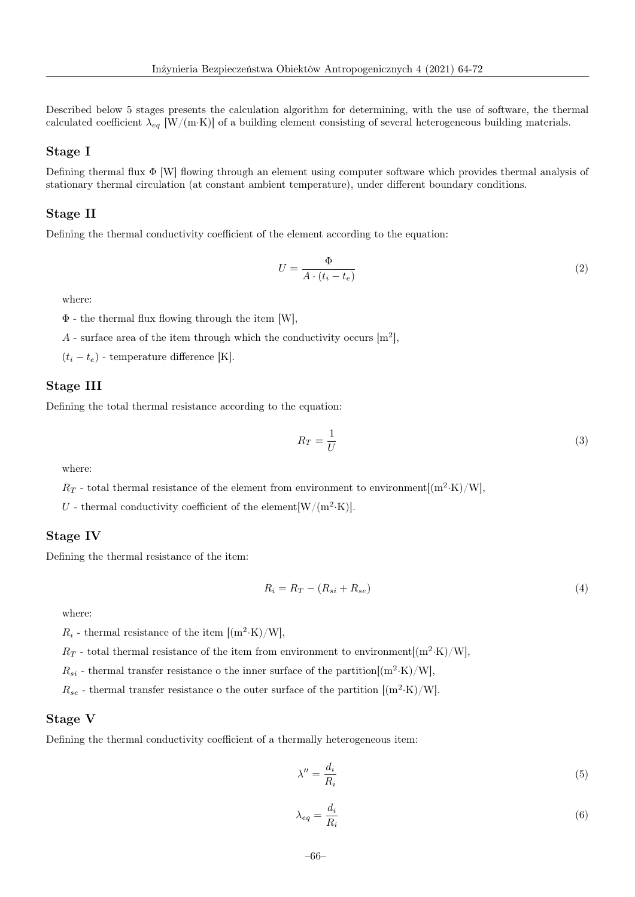Described below 5 stages presents the calculation algorithm for determining, with the use of software, the thermal calculated coefficient  $\lambda_{eq}$  [W/(m·K)] of a building element consisting of several heterogeneous building materials.

#### Stage I

Defining thermal flux Φ [W] flowing through an element using computer software which provides thermal analysis of stationary thermal circulation (at constant ambient temperature), under different boundary conditions.

#### Stage II

Defining the thermal conductivity coefficient of the element according to the equation:

$$
U = \frac{\Phi}{A \cdot (t_i - t_e)}\tag{2}
$$

where:

Φ - the thermal flux flowing through the item [W],

A - surface area of the item through which the conductivity occurs  $[m^2]$ ,

 $(t_i - t_e)$  - temperature difference [K].

#### Stage III

Defining the total thermal resistance according to the equation:

$$
R_T = \frac{1}{U} \tag{3}
$$

where:

 $R_T$  - total thermal resistance of the element from environment to environment $[(m^2·K)/W]$ ,

U - thermal conductivity coefficient of the element  $[W/(m^2 \cdot K)]$ .

#### Stage IV

Defining the thermal resistance of the item:

$$
R_i = R_T - (R_{si} + R_{se})
$$
\n<sup>(4)</sup>

where:

 $R_i$  - thermal resistance of the item  $[(m^2 \cdot K)/W]$ ,

 $R_T$  - total thermal resistance of the item from environment to environment $[(m^2 \cdot K)/W]$ ,

 $R_{si}$  - thermal transfer resistance o the inner surface of the partition  $[(m^2 \cdot K)/W]$ ,

 $R_{se}$  - thermal transfer resistance o the outer surface of the partition  $[(\text{m}^2 \cdot \text{K})/\text{W}]$ .

#### Stage V

Defining the thermal conductivity coefficient of a thermally heterogeneous item:

$$
\lambda'' = \frac{d_i}{R_i} \tag{5}
$$

$$
\lambda_{eq} = \frac{d_i}{R_i} \tag{6}
$$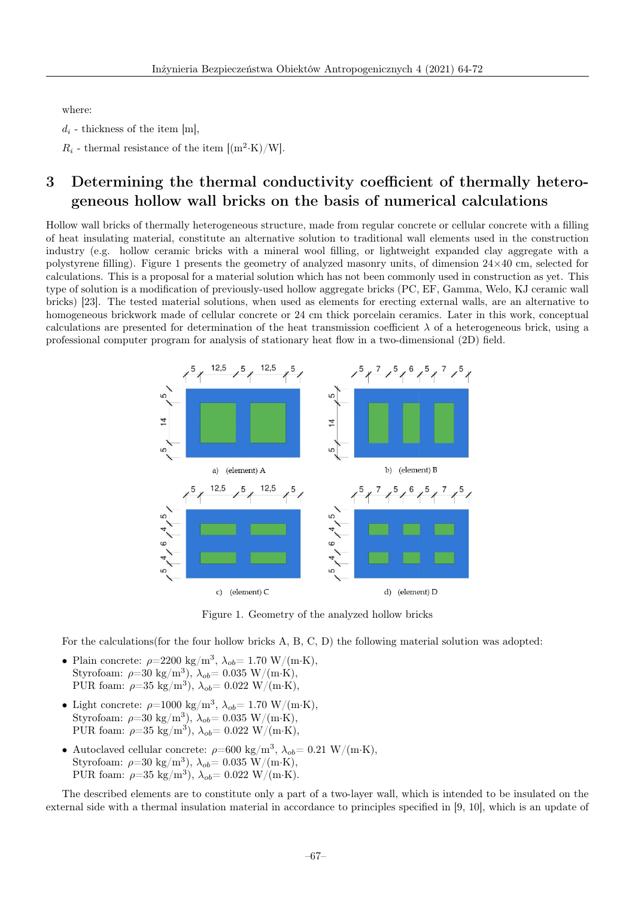where:

 $d_i$  - thickness of the item [m].

 $R_i$  - thermal resistance of the item  $[(m^2 \cdot K)/W]$ .

## 3 Determining the thermal conductivity coefficient of thermally heterogeneous hollow wall bricks on the basis of numerical calculations

Hollow wall bricks of thermally heterogeneous structure, made from regular concrete or cellular concrete with a filling of heat insulating material, constitute an alternative solution to traditional wall elements used in the construction industry (e.g. hollow ceramic bricks with a mineral wool filling, or lightweight expanded clay aggregate with a polystyrene filling). Figure 1 presents the geometry of analyzed masonry units, of dimension  $24\times40$  cm, selected for calculations. This is a proposal for a material solution which has not been commonly used in construction as yet. This type of solution is a modification of previously-used hollow aggregate bricks (PC, EF, Gamma, Welo, KJ ceramic wall bricks) [23]. The tested material solutions, when used as elements for erecting external walls, are an alternative to homogeneous brickwork made of cellular concrete or 24 cm thick porcelain ceramics. Later in this work, conceptual calculations are presented for determination of the heat transmission coefficient  $\lambda$  of a heterogeneous brick, using a professional computer program for analysis of stationary heat flow in a two-dimensional (2D) field.



Figure 1. Geometry of the analyzed hollow bricks

For the calculations(for the four hollow bricks A, B, C, D) the following material solution was adopted:

- Plain concrete:  $\rho = 2200 \text{ kg/m}^3$ ,  $\lambda_{ob} = 1.70 \text{ W/(m·K)}$ , Styrofoam:  $\rho = 30 \text{ kg/m}^3$ ),  $\lambda_{ob} = 0.035 \text{ W/(m·K)}$ , PUR foam:  $\rho = 35 \text{ kg/m}^3$ ),  $\lambda_{ob} = 0.022 \text{ W/(m·K)}$ ,
- Light concrete:  $\rho = 1000 \text{ kg/m}^3$ ,  $\lambda_{ob} = 1.70 \text{ W/(m·K)}$ , Styrofoam:  $\rho = 30 \text{ kg/m}^3$ ),  $\lambda_{ob} = 0.035 \text{ W/(m·K)}$ , PUR foam:  $\rho = 35 \text{ kg/m}^3$ ),  $\lambda_{ob} = 0.022 \text{ W/(m·K)}$ ,
- Autoclaved cellular concrete:  $\rho$ =600 kg/m<sup>3</sup>,  $\lambda_{ob}$ = 0.21 W/(m·K), Styrofoam:  $\rho = 30 \text{ kg/m}^3$ ),  $\lambda_{ob} = 0.035 \text{ W/(m·K)}$ , PUR foam:  $\rho = 35 \text{ kg/m}^3$ ),  $\lambda_{ob} = 0.022 \text{ W/(m·K)}$ .

The described elements are to constitute only a part of a two-layer wall, which is intended to be insulated on the external side with a thermal insulation material in accordance to principles specified in [9, 10], which is an update of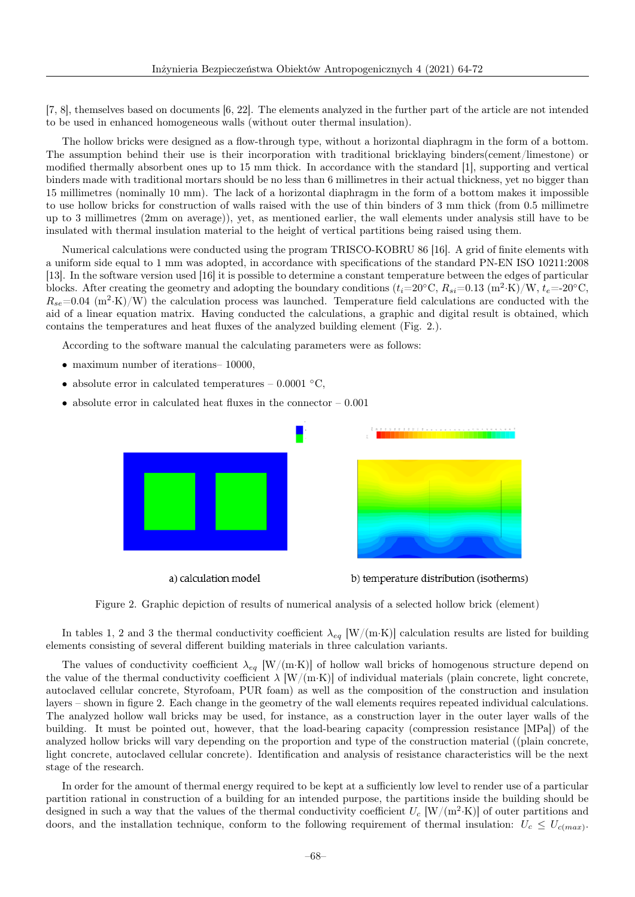[7, 8], themselves based on documents [6, 22]. The elements analyzed in the further part of the article are not intended to be used in enhanced homogeneous walls (without outer thermal insulation).

The hollow bricks were designed as a flow-through type, without a horizontal diaphragm in the form of a bottom. The assumption behind their use is their incorporation with traditional bricklaying binders(cement/limestone) or modified thermally absorbent ones up to 15 mm thick. In accordance with the standard [1], supporting and vertical binders made with traditional mortars should be no less than 6 millimetres in their actual thickness, yet no bigger than 15 millimetres (nominally 10 mm). The lack of a horizontal diaphragm in the form of a bottom makes it impossible to use hollow bricks for construction of walls raised with the use of thin binders of 3 mm thick (from 0.5 millimetre up to 3 millimetres (2mm on average)), yet, as mentioned earlier, the wall elements under analysis still have to be insulated with thermal insulation material to the height of vertical partitions being raised using them.

Numerical calculations were conducted using the program TRISCO-KOBRU 86 [16]. A grid of finite elements with a uniform side equal to 1 mm was adopted, in accordance with specifications of the standard PN-EN ISO 10211:2008 [13]. In the software version used [16] it is possible to determine a constant temperature between the edges of particular blocks. After creating the geometry and adopting the boundary conditions  $(t_i=20\degree \text{C}, R_{si}=0.13~(\text{m}^2 \cdot \text{K})/\text{W}, t_e=20\degree \text{C}$ ,  $R_{se}$ =0.04 (m<sup>2</sup>·K)/W) the calculation process was launched. Temperature field calculations are conducted with the aid of a linear equation matrix. Having conducted the calculations, a graphic and digital result is obtained, which contains the temperatures and heat fluxes of the analyzed building element (Fig. 2.).

According to the software manual the calculating parameters were as follows:

- maximum number of iterations– 10000,
- absolute error in calculated temperatures 0.0001  $\degree$ C,
- absolute error in calculated heat fluxes in the connector  $-0.001$



a) calculation model





In tables 1, 2 and 3 the thermal conductivity coefficient  $\lambda_{eq}$  [W/(m·K)] calculation results are listed for building elements consisting of several different building materials in three calculation variants.

The values of conductivity coefficient  $\lambda_{eq}$  [W/(m·K)] of hollow wall bricks of homogenous structure depend on the value of the thermal conductivity coefficient  $\lambda$  [W/(m·K)] of individual materials (plain concrete, light concrete, autoclaved cellular concrete, Styrofoam, PUR foam) as well as the composition of the construction and insulation layers – shown in figure 2. Each change in the geometry of the wall elements requires repeated individual calculations. The analyzed hollow wall bricks may be used, for instance, as a construction layer in the outer layer walls of the building. It must be pointed out, however, that the load-bearing capacity (compression resistance [MPa]) of the analyzed hollow bricks will vary depending on the proportion and type of the construction material ((plain concrete, light concrete, autoclaved cellular concrete). Identification and analysis of resistance characteristics will be the next stage of the research.

In order for the amount of thermal energy required to be kept at a sufficiently low level to render use of a particular partition rational in construction of a building for an intended purpose, the partitions inside the building should be designed in such a way that the values of the thermal conductivity coefficient  $U_c$  [W/(m<sup>2</sup>·K)] of outer partitions and doors, and the installation technique, conform to the following requirement of thermal insulation:  $U_c \leq U_{c(max)}$ .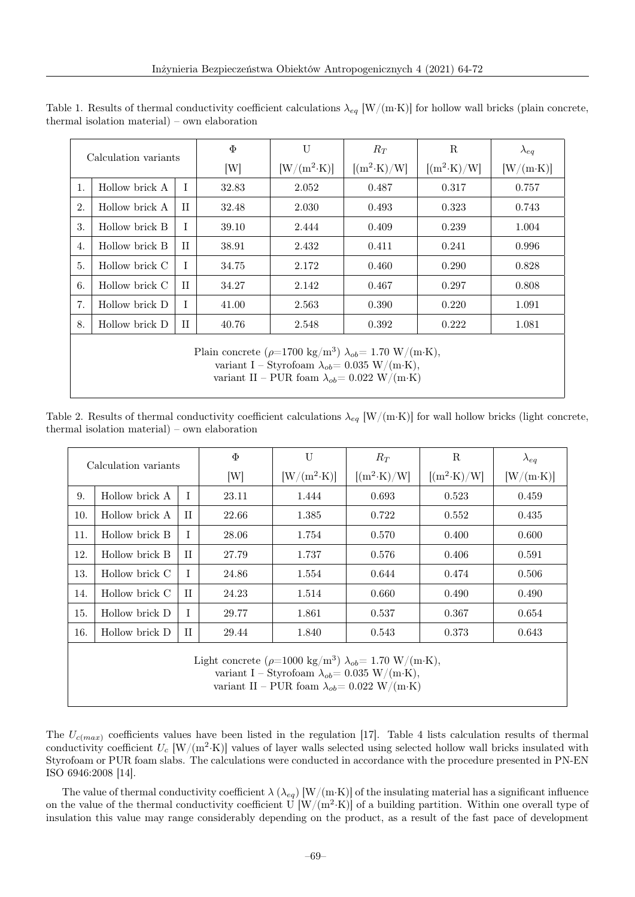| Calculation variants                                                             |                |             | $\Phi$ | $\mathbf{U}$                                                                | $R_T$ | R             | $\lambda_{eq}$   |  |  |
|----------------------------------------------------------------------------------|----------------|-------------|--------|-----------------------------------------------------------------------------|-------|---------------|------------------|--|--|
|                                                                                  |                |             | [W]    | $[W/(m^2 \cdot K)]$<br>$[(m^2 \cdot K)/W]$                                  |       | $[(m^2-K)/W]$ | $[W/(m\cdot K)]$ |  |  |
| 1.                                                                               | Hollow brick A | T           | 32.83  | 2.052                                                                       | 0.487 | 0.317         | 0.757            |  |  |
| 2.                                                                               | Hollow brick A | $_{\rm II}$ | 32.48  | 2.030                                                                       | 0.493 | 0.323         | 0.743            |  |  |
| 3.                                                                               | Hollow brick B | T           | 39.10  | 2.444                                                                       | 0.409 | 0.239         | 1.004            |  |  |
| 4.                                                                               | Hollow brick B | $_{\rm II}$ | 38.91  | 2.432                                                                       | 0.411 | 0.241         | 0.996            |  |  |
| 5.                                                                               | Hollow brick C | T           | 34.75  | 2.172                                                                       | 0.460 | 0.290         | 0.828            |  |  |
| 6.                                                                               | Hollow brick C | $_{\rm II}$ | 34.27  | 2.142                                                                       | 0.467 | 0.297         | 0.808            |  |  |
| 7.                                                                               | Hollow brick D | T           | 41.00  | 2.563                                                                       | 0.390 | 0.220         | 1.091            |  |  |
| 8.                                                                               | Hollow brick D | $_{\rm II}$ | 40.76  | 2.548                                                                       | 0.392 | 0.222         | 1.081            |  |  |
| Plain concrete ( $\rho$ =1700 kg/m <sup>3</sup> ) $\lambda_{ob}$ = 1.70 W/(m·K), |                |             |        |                                                                             |       |               |                  |  |  |
|                                                                                  |                |             |        | variant I – Styrofoam $\lambda_{ob} = 0.035 \text{ W/(m} \cdot \text{K)}$ , |       |               |                  |  |  |

Table 1. Results of thermal conductivity coefficient calculations  $\lambda_{eq}$  [W/(m·K)] for hollow wall bricks (plain concrete, thermal isolation material) – own elaboration

variant II – PUR foam  $\lambda_{ob}$ = 0.022 W/(m·K)

Table 2. Results of thermal conductivity coefficient calculations  $\lambda_{eq}$  [W/(m·K)] for wall hollow bricks (light concrete, thermal isolation material) – own elaboration

| Calculation variants                                                                                                                                                                                                                   |                |              | Φ     | U                   | $R_T$               | R                   | $\lambda_{eq}$   |  |  |
|----------------------------------------------------------------------------------------------------------------------------------------------------------------------------------------------------------------------------------------|----------------|--------------|-------|---------------------|---------------------|---------------------|------------------|--|--|
|                                                                                                                                                                                                                                        |                |              | [W]   | $[W/(m^2 \cdot K)]$ | $[(m^2 \cdot K)/W]$ | $[(m^2 \cdot K)/W]$ | $[W/(m\cdot K)]$ |  |  |
| 9.                                                                                                                                                                                                                                     | Hollow brick A | T            | 23.11 | 1.444               | 0.693               | 0.523               | 0.459            |  |  |
| 10.                                                                                                                                                                                                                                    | Hollow brick A | $_{\rm II}$  | 22.66 | 1.385               | 0.722               | 0.552               | 0.435            |  |  |
| 11.                                                                                                                                                                                                                                    | Hollow brick B | T            | 28.06 | 1.754               | 0.570               | 0.400               | 0.600            |  |  |
| 12.                                                                                                                                                                                                                                    | Hollow brick B | $\mathbf{H}$ | 27.79 | 1.737               | 0.576               | 0.406               | 0.591            |  |  |
| 13.                                                                                                                                                                                                                                    | Hollow brick C | T            | 24.86 | 1.554               | 0.644               | 0.474               | 0.506            |  |  |
| 14.                                                                                                                                                                                                                                    | Hollow brick C | $\mathbf{H}$ | 24.23 | 1.514               | 0.660               | 0.490               | 0.490            |  |  |
| 15.                                                                                                                                                                                                                                    | Hollow brick D | I            | 29.77 | 1.861               | 0.537               | 0.367               | 0.654            |  |  |
| 16.                                                                                                                                                                                                                                    | Hollow brick D | $_{\rm II}$  | 29.44 | 1.840               | 0.543               | 0.373               | 0.643            |  |  |
| Light concrete ( $\rho$ =1000 kg/m <sup>3</sup> ) $\lambda_{ob}$ = 1.70 W/(m·K),<br>variant I – Styrofoam $\lambda_{ob} = 0.035 \text{ W}/(\text{m} \cdot \text{K})$ ,<br>variant II – PUR foam $\lambda_{ob} = 0.022 \text{ W/(m·K)}$ |                |              |       |                     |                     |                     |                  |  |  |

The  $U_{c(max)}$  coefficients values have been listed in the regulation [17]. Table 4 lists calculation results of thermal conductivity coefficient  $U_c$  [W/(m<sup>2</sup>·K)] values of layer walls selected using selected hollow wall bricks insulated with Styrofoam or PUR foam slabs. The calculations were conducted in accordance with the procedure presented in PN-EN ISO 6946:2008 [14].

The value of thermal conductivity coefficient  $\lambda (\lambda_{eq})$  [W/(m·K)] of the insulating material has a significant influence on the value of the thermal conductivity coefficient U  $\rm [W/(m^2 \cdot K)]$  of a building partition. Within one overall type of insulation this value may range considerably depending on the product, as a result of the fast pace of development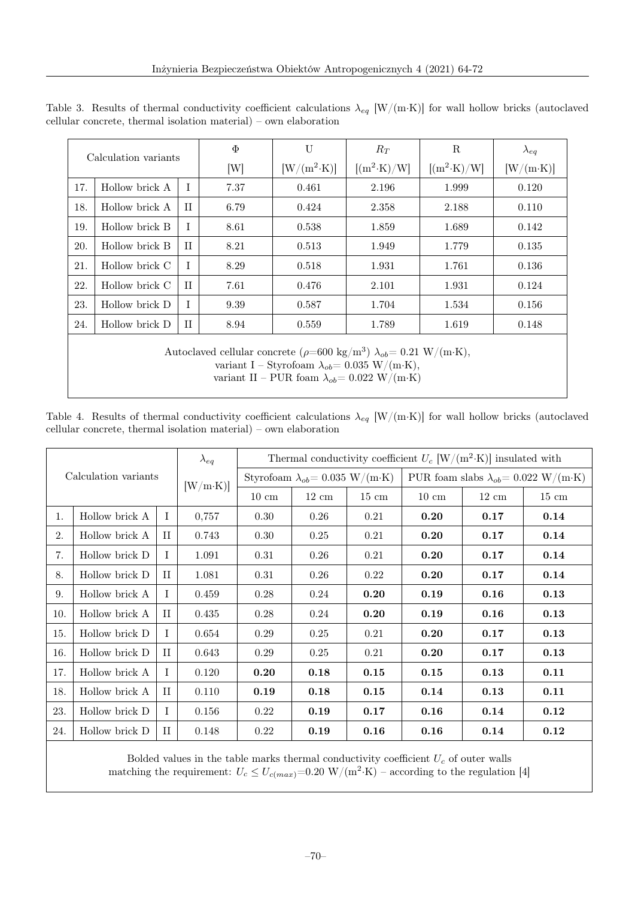| Calculation variants |                                                                                                                                                                                                                                                                         |              | $\Phi$ | U                   | $R_T$               | R                   | $\lambda_{eq}$   |  |  |  |
|----------------------|-------------------------------------------------------------------------------------------------------------------------------------------------------------------------------------------------------------------------------------------------------------------------|--------------|--------|---------------------|---------------------|---------------------|------------------|--|--|--|
|                      |                                                                                                                                                                                                                                                                         |              | [W]    | $[W/(m^2 \cdot K)]$ | $[(m^2 \cdot K)/W]$ | $[(m^2 \cdot K)/W]$ | $[W/(m\cdot K)]$ |  |  |  |
| 17.                  | Hollow brick A                                                                                                                                                                                                                                                          | T            | 7.37   | 0.461               | 2.196               | 1.999               | 0.120            |  |  |  |
| 18.                  | Hollow brick A                                                                                                                                                                                                                                                          | $\mathbf{H}$ | 6.79   | 0.424               | 2.358               | 2.188               | 0.110            |  |  |  |
| 19.                  | Hollow brick B                                                                                                                                                                                                                                                          | I            | 8.61   | 0.538               | 1.859               | 1.689               | 0.142            |  |  |  |
| 20.                  | Hollow brick B                                                                                                                                                                                                                                                          | $\mathbf{H}$ | 8.21   | 0.513               | 1.949               | 1.779               | 0.135            |  |  |  |
| 21.                  | Hollow brick C                                                                                                                                                                                                                                                          | T            | 8.29   | 0.518               | 1.931               | 1.761               | 0.136            |  |  |  |
| 22.                  | Hollow brick C                                                                                                                                                                                                                                                          | $\mathbf{H}$ | 7.61   | 0.476               | 2.101               | 1.931               | 0.124            |  |  |  |
| 23.                  | Hollow brick D                                                                                                                                                                                                                                                          | T            | 9.39   | 0.587               | 1.704               | 1.534               | 0.156            |  |  |  |
| 24.                  | Hollow brick D                                                                                                                                                                                                                                                          | $_{\rm II}$  | 8.94   | 0.559               | 1.789               | 1.619               | 0.148            |  |  |  |
|                      | Autoclaved cellular concrete ( $\rho$ =600 kg/m <sup>3</sup> ) $\lambda_{ob}$ = 0.21 W/(m·K),<br>variant I – Styrofoam $\lambda_{ob} = 0.035 \text{ W}/(\text{m} \cdot \text{K})$ ,<br>variant II – PUR foam $\lambda_{ob} = 0.022 \text{ W}/(\text{m} \cdot \text{K})$ |              |        |                     |                     |                     |                  |  |  |  |

Table 3. Results of thermal conductivity coefficient calculations  $\lambda_{eq}$  [W/(m·K)] for wall hollow bricks (autoclaved cellular concrete, thermal isolation material) – own elaboration

Table 4. Results of thermal conductivity coefficient calculations  $\lambda_{eq}$  [W/(m·K)] for wall hollow bricks (autoclaved cellular concrete, thermal isolation material) – own elaboration

| Calculation variants |                |              | $\lambda_{eq}$ | Thermal conductivity coefficient $U_c~[\mathrm{W}/(\mathrm{m}^2{\cdot}\mathrm{K})]$ insulated with |                 |                 |                                                       |                 |                 |  |
|----------------------|----------------|--------------|----------------|----------------------------------------------------------------------------------------------------|-----------------|-----------------|-------------------------------------------------------|-----------------|-----------------|--|
|                      |                |              | [W/m·K]        | Styrofoam $\lambda_{ob} = 0.035 \text{ W/(m·K)}$                                                   |                 |                 | PUR foam slabs $\lambda_{ob} = 0.022 \text{ W/(m·K)}$ |                 |                 |  |
|                      |                |              |                | $10 \text{ cm}$                                                                                    | $12 \text{ cm}$ | $15 \text{ cm}$ | $10 \text{ cm}$                                       | $12 \text{ cm}$ | $15 \text{ cm}$ |  |
| 1.                   | Hollow brick A | $\mathbf I$  | 0,757          | 0.30                                                                                               | 0.26            | 0.21            | 0.20                                                  | 0.17            | 0.14            |  |
| 2.                   | Hollow brick A | П            | 0.743          | 0.30                                                                                               | 0.25            | 0.21            | 0.20                                                  | 0.17            | 0.14            |  |
| 7.                   | Hollow brick D | I            | 1.091          | 0.31                                                                                               | 0.26            | 0.21            | 0.20                                                  | 0.17            | 0.14            |  |
| 8.                   | Hollow brick D | П            | 1.081          | 0.31                                                                                               | 0.26            | 0.22            | 0.20                                                  | 0.17            | 0.14            |  |
| 9.                   | Hollow brick A | T            | 0.459          | 0.28                                                                                               | 0.24            | 0.20            | 0.19                                                  | 0.16            | 0.13            |  |
| 10.                  | Hollow brick A | $\rm II$     | 0.435          | 0.28                                                                                               | 0.24            | 0.20            | 0.19                                                  | 0.16            | 0.13            |  |
| 15.                  | Hollow brick D | $\mathbf{I}$ | 0.654          | 0.29                                                                                               | 0.25            | 0.21            | 0.20                                                  | 0.17            | 0.13            |  |
| 16.                  | Hollow brick D | П            | 0.643          | 0.29                                                                                               | 0.25            | 0.21            | 0.20                                                  | 0.17            | 0.13            |  |
| 17.                  | Hollow brick A | T            | 0.120          | 0.20                                                                                               | 0.18            | 0.15            | 0.15                                                  | 0.13            | 0.11            |  |
| 18.                  | Hollow brick A | П            | 0.110          | 0.19                                                                                               | 0.18            | 0.15            | 0.14                                                  | 0.13            | 0.11            |  |
| 23.                  | Hollow brick D | $\bf{I}$     | 0.156          | 0.22                                                                                               | 0.19            | 0.17            | 0.16                                                  | 0.14            | 0.12            |  |
| 24.                  | Hollow brick D | П            | 0.148          | 0.22                                                                                               | 0.19            | 0.16            | 0.16                                                  | 0.14            | 0.12            |  |

Bolded values in the table marks thermal conductivity coefficient  $U_c$  of outer walls matching the requirement:  $U_c \le U_{c(max)} = 0.20 \text{ W/(m}^2 \cdot \text{K)}$  – according to the regulation [4]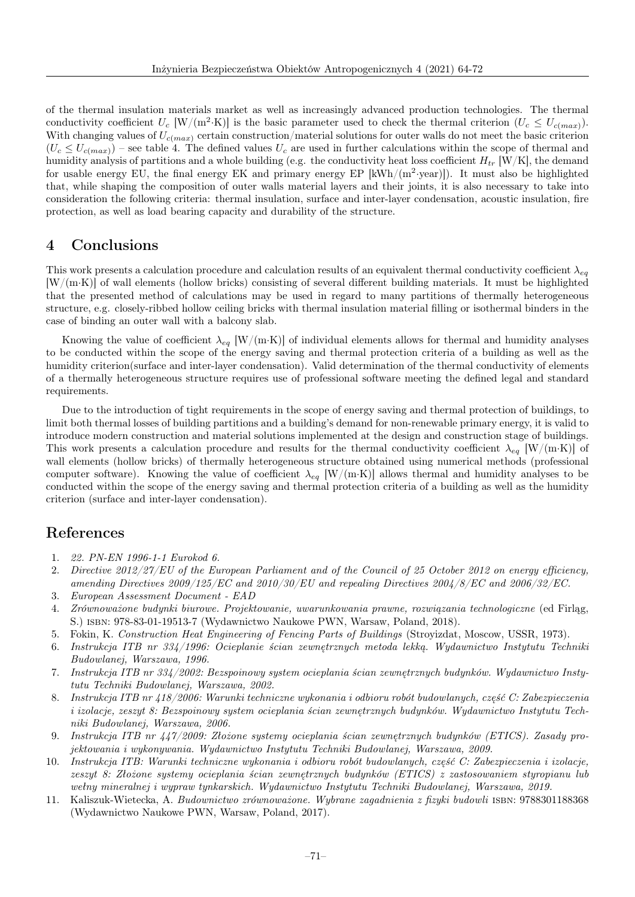of the thermal insulation materials market as well as increasingly advanced production technologies. The thermal conductivity coefficient  $U_c$  [W/(m<sup>2</sup>·K)] is the basic parameter used to check the thermal criterion  $(U_c \leq U_{c(max)})$ . With changing values of  $U_{c(max)}$  certain construction/material solutions for outer walls do not meet the basic criterion  $(U_c \leq U_{c(max)})$  – see table 4. The defined values  $U_c$  are used in further calculations within the scope of thermal and humidity analysis of partitions and a whole building (e.g. the conductivity heat loss coefficient  $H_{tr}$  [W/K], the demand for usable energy EU, the final energy EK and primary energy EP  $[kWh/(m^2 \text{·year})]$ ). It must also be highlighted that, while shaping the composition of outer walls material layers and their joints, it is also necessary to take into consideration the following criteria: thermal insulation, surface and inter-layer condensation, acoustic insulation, fire protection, as well as load bearing capacity and durability of the structure.

#### 4 Conclusions

This work presents a calculation procedure and calculation results of an equivalent thermal conductivity coefficient  $\lambda_{eq}$ [W/(m·K)] of wall elements (hollow bricks) consisting of several different building materials. It must be highlighted that the presented method of calculations may be used in regard to many partitions of thermally heterogeneous structure, e.g. closely-ribbed hollow ceiling bricks with thermal insulation material filling or isothermal binders in the case of binding an outer wall with a balcony slab.

Knowing the value of coefficient  $\lambda_{eq}$  [W/(m·K)] of individual elements allows for thermal and humidity analyses to be conducted within the scope of the energy saving and thermal protection criteria of a building as well as the humidity criterion(surface and inter-layer condensation). Valid determination of the thermal conductivity of elements of a thermally heterogeneous structure requires use of professional software meeting the defined legal and standard requirements.

Due to the introduction of tight requirements in the scope of energy saving and thermal protection of buildings, to limit both thermal losses of building partitions and a building's demand for non-renewable primary energy, it is valid to introduce modern construction and material solutions implemented at the design and construction stage of buildings. This work presents a calculation procedure and results for the thermal conductivity coefficient  $\lambda_{eq}$  [W/(m·K)] of wall elements (hollow bricks) of thermally heterogeneous structure obtained using numerical methods (professional computer software). Knowing the value of coefficient  $\lambda_{eq}$  [W/(m·K)] allows thermal and humidity analyses to be conducted within the scope of the energy saving and thermal protection criteria of a building as well as the humidity criterion (surface and inter-layer condensation).

#### References

- 1. 22. PN-EN 1996-1-1 Eurokod 6.
- 2. Directive 2012/27/EU of the European Parliament and of the Council of 25 October 2012 on energy efficiency, amending Directives 2009/125/EC and 2010/30/EU and repealing Directives 2004/8/EC and 2006/32/EC.
- 3. European Assessment Document EAD
- 4. Zrównoważone budynki biurowe. Projektowanie, uwarunkowania prawne, rozwiązania technologiczne (ed Firląg, S.) isbn: 978-83-01-19513-7 (Wydawnictwo Naukowe PWN, Warsaw, Poland, 2018).
- 5. Fokin, K. Construction Heat Engineering of Fencing Parts of Buildings (Stroyizdat, Moscow, USSR, 1973).
- 6. Instrukcja ITB nr 334/1996: Ocieplanie ścian zewnętrznych metoda lekką. Wydawnictwo Instytutu Techniki Budowlanej, Warszawa, 1996.
- 7. Instrukcja ITB nr 334/2002: Bezspoinowy system ocieplania ścian zewnętrznych budynków. Wydawnictwo Instytutu Techniki Budowlanej, Warszawa, 2002.
- 8. Instrukcja ITB nr 418/2006: Warunki techniczne wykonania i odbioru robót budowlanych, część C: Zabezpieczenia i izolacje, zeszyt 8: Bezspoinowy system ocieplania ścian zewnętrznych budynków. Wydawnictwo Instytutu Techniki Budowlanej, Warszawa, 2006.
- 9. Instrukcja ITB nr 447/2009: Złożone systemy ocieplania ścian zewnętrznych budynków (ETICS). Zasady projektowania i wykonywania. Wydawnictwo Instytutu Techniki Budowlanej, Warszawa, 2009.
- 10. Instrukcja ITB: Warunki techniczne wykonania i odbioru robót budowlanych, część C: Zabezpieczenia i izolacje, zeszyt 8: Złożone systemy ocieplania ścian zewnętrznych budynków (ETICS) z zastosowaniem styropianu lub wełny mineralnej i wypraw tynkarskich. Wydawnictwo Instytutu Techniki Budowlanej, Warszawa, 2019.
- 11. Kaliszuk-Wietecka, A. Budownictwo zrównoważone. Wybrane zagadnienia z fizyki budowli isbn: 9788301188368 (Wydawnictwo Naukowe PWN, Warsaw, Poland, 2017).